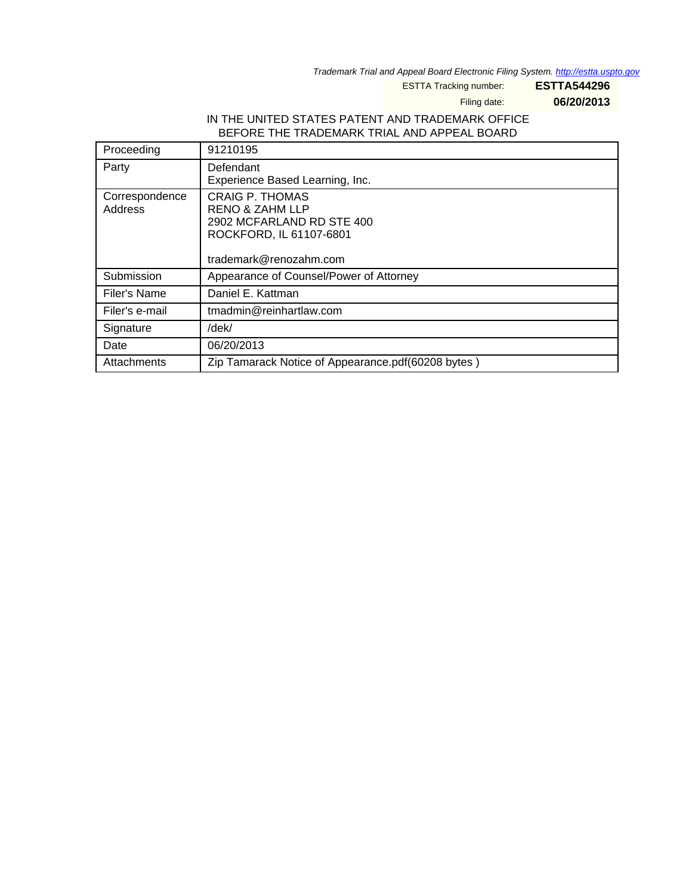Trademark Trial and Appeal Board Electronic Filing System. <http://estta.uspto.gov>

ESTTA Tracking number: **ESTTA544296**

Filing date: **06/20/2013**

### IN THE UNITED STATES PATENT AND TRADEMARK OFFICE BEFORE THE TRADEMARK TRIAL AND APPEAL BOARD

| Proceeding                | 91210195                                                                                                                               |
|---------------------------|----------------------------------------------------------------------------------------------------------------------------------------|
| Party                     | Defendant<br>Experience Based Learning, Inc.                                                                                           |
| Correspondence<br>Address | <b>CRAIG P. THOMAS</b><br><b>RENO &amp; ZAHM LLP</b><br>2902 MCFARLAND RD STE 400<br>ROCKFORD, IL 61107-6801<br>trademark@renozahm.com |
| Submission                | Appearance of Counsel/Power of Attorney                                                                                                |
| Filer's Name              | Daniel E. Kattman                                                                                                                      |
| Filer's e-mail            | tmadmin@reinhartlaw.com                                                                                                                |
| Signature                 | /dek/                                                                                                                                  |
| Date                      | 06/20/2013                                                                                                                             |
| Attachments               | Zip Tamarack Notice of Appearance.pdf(60208 bytes)                                                                                     |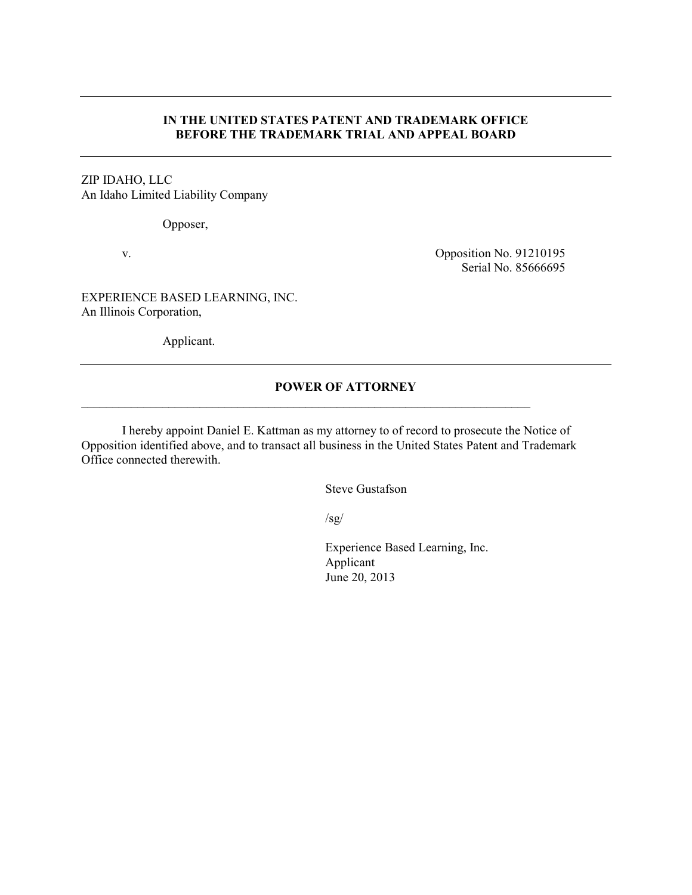#### **IN THE UNITED STATES PATENT AND TRADEMARK OFFICE BEFORE THE TRADEMARK TRIAL AND APPEAL BOARD**

#### ZIP IDAHO, LLC An Idaho Limited Liability Company

Opposer,

v. Opposition No. 91210195 Serial No. 85666695

EXPERIENCE BASED LEARNING, INC. An Illinois Corporation,

Applicant.

# **POWER OF ATTORNEY**

 I hereby appoint Daniel E. Kattman as my attorney to of record to prosecute the Notice of Opposition identified above, and to transact all business in the United States Patent and Trademark Office connected therewith.

 $\_$  , and the set of the set of the set of the set of the set of the set of the set of the set of the set of the set of the set of the set of the set of the set of the set of the set of the set of the set of the set of th

Steve Gustafson

 $\sqrt{sg/}$ 

Experience Based Learning, Inc. Applicant June 20, 2013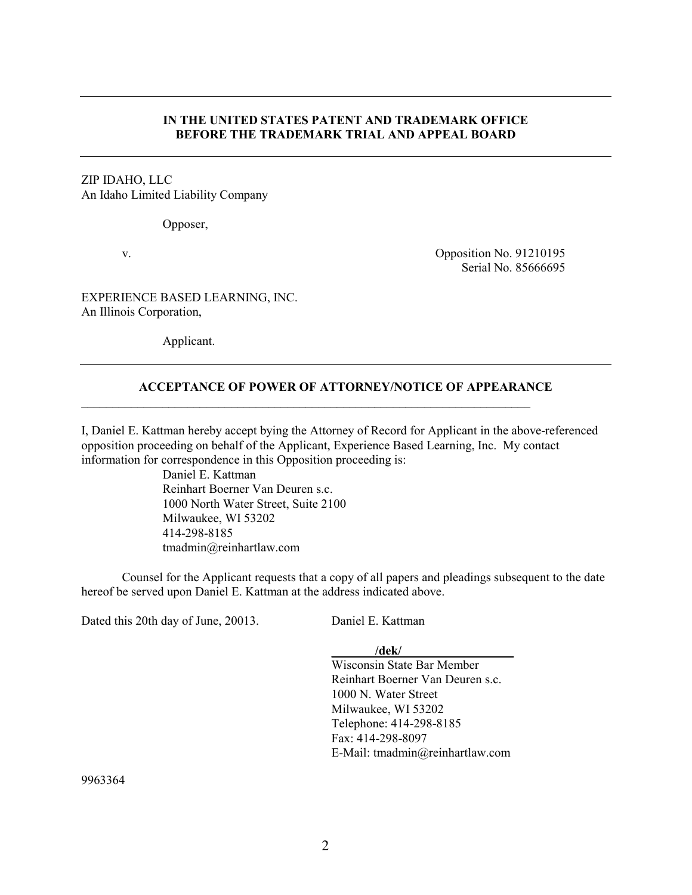#### **IN THE UNITED STATES PATENT AND TRADEMARK OFFICE BEFORE THE TRADEMARK TRIAL AND APPEAL BOARD**

### ZIP IDAHO, LLC An Idaho Limited Liability Company

Opposer,

v. Copposition No. 91210195 Serial No. 85666695

EXPERIENCE BASED LEARNING, INC. An Illinois Corporation,

Applicant.

#### **ACCEPTANCE OF POWER OF ATTORNEY/NOTICE OF APPEARANCE**

 $\_$  , and the set of the set of the set of the set of the set of the set of the set of the set of the set of the set of the set of the set of the set of the set of the set of the set of the set of the set of the set of th

I, Daniel E. Kattman hereby accept bying the Attorney of Record for Applicant in the above-referenced opposition proceeding on behalf of the Applicant, Experience Based Learning, Inc. My contact information for correspondence in this Opposition proceeding is:

> Daniel E. Kattman Reinhart Boerner Van Deuren s.c. 1000 North Water Street, Suite 2100 Milwaukee, WI 53202 414-298-8185 tmadmin@reinhartlaw.com

 Counsel for the Applicant requests that a copy of all papers and pleadings subsequent to the date hereof be served upon Daniel E. Kattman at the address indicated above.

Dated this 20th day of June, 20013. Daniel E. Kattman

**\_\_\_\_\_\_\_/dek/\_\_\_\_\_\_\_\_\_\_\_\_\_\_\_\_\_\_** 

Wisconsin State Bar Member Reinhart Boerner Van Deuren s.c. 1000 N. Water Street Milwaukee, WI 53202 Telephone: 414-298-8185 Fax: 414-298-8097 E-Mail: tmadmin@reinhartlaw.com

9963364